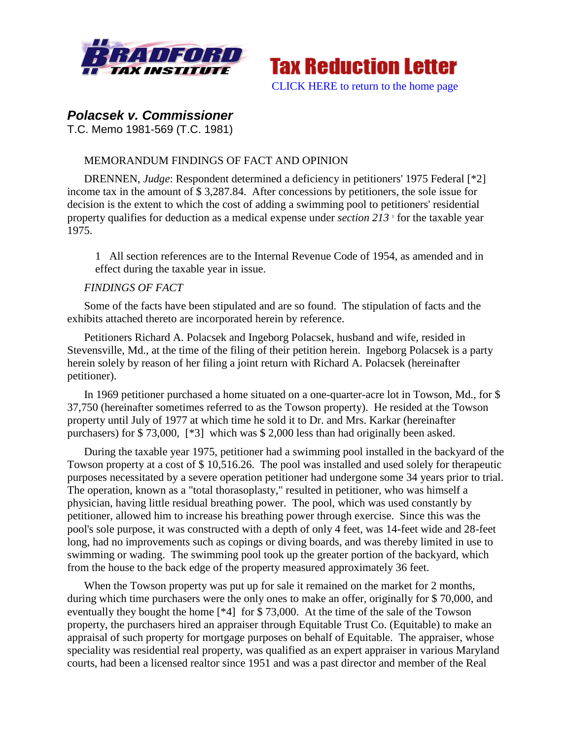



# *Polacsek v. Commissioner*

T.C. Memo 1981-569 (T.C. 1981)

# MEMORANDUM FINDINGS OF FACT AND OPINION

DRENNEN, *Judge*: Respondent determined a deficiency in petitioners' 1975 Federal [\*2] income tax in the amount of \$ 3,287.84. After concessions by petitioners, the sole issue for decision is the extent to which the cost of adding a swimming pool to petitioners' residential property qualifies for deduction as a medical expense under *section* 213<sup>1</sup> for the taxable year 1975.

1 All section references are to the Internal Revenue Code of 1954, as amended and in effect during the taxable year in issue.

# *FINDINGS OF FACT*

Some of the facts have been stipulated and are so found. The stipulation of facts and the exhibits attached thereto are incorporated herein by reference.

Petitioners Richard A. Polacsek and Ingeborg Polacsek, husband and wife, resided in Stevensville, Md., at the time of the filing of their petition herein. Ingeborg Polacsek is a party herein solely by reason of her filing a joint return with Richard A. Polacsek (hereinafter petitioner).

In 1969 petitioner purchased a home situated on a one-quarter-acre lot in Towson, Md., for \$ 37,750 (hereinafter sometimes referred to as the Towson property). He resided at the Towson property until July of 1977 at which time he sold it to Dr. and Mrs. Karkar (hereinafter purchasers) for \$ 73,000, [\*3] which was \$ 2,000 less than had originally been asked.

During the taxable year 1975, petitioner had a swimming pool installed in the backyard of the Towson property at a cost of \$ 10,516.26. The pool was installed and used solely for therapeutic purposes necessitated by a severe operation petitioner had undergone some 34 years prior to trial. The operation, known as a "total thorasoplasty," resulted in petitioner, who was himself a physician, having little residual breathing power. The pool, which was used constantly by petitioner, allowed him to increase his breathing power through exercise. Since this was the pool's sole purpose, it was constructed with a depth of only 4 feet, was 14-feet wide and 28-feet long, had no improvements such as copings or diving boards, and was thereby limited in use to swimming or wading. The swimming pool took up the greater portion of the backyard, which from the house to the back edge of the property measured approximately 36 feet.

When the Towson property was put up for sale it remained on the market for 2 months, during which time purchasers were the only ones to make an offer, originally for \$ 70,000, and eventually they bought the home [\*4] for \$ 73,000. At the time of the sale of the Towson property, the purchasers hired an appraiser through Equitable Trust Co. (Equitable) to make an appraisal of such property for mortgage purposes on behalf of Equitable. The appraiser, whose speciality was residential real property, was qualified as an expert appraiser in various Maryland courts, had been a licensed realtor since 1951 and was a past director and member of the Real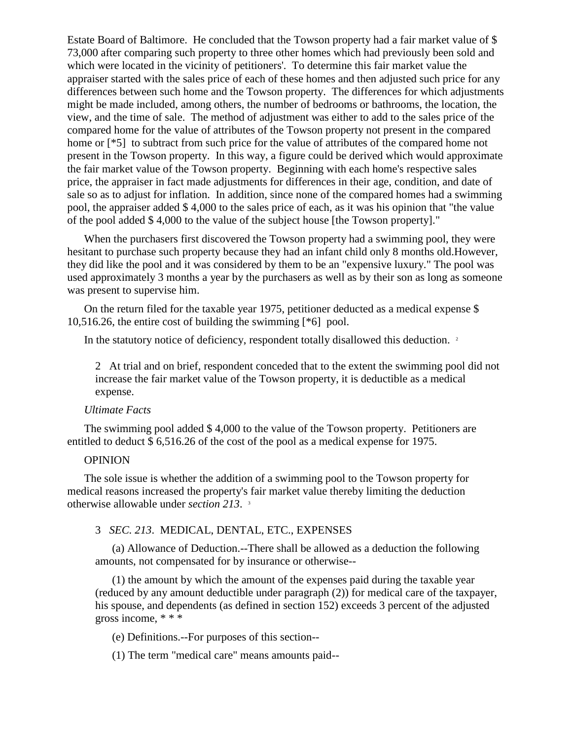Estate Board of Baltimore. He concluded that the Towson property had a fair market value of \$ 73,000 after comparing such property to three other homes which had previously been sold and which were located in the vicinity of petitioners'. To determine this fair market value the appraiser started with the sales price of each of these homes and then adjusted such price for any differences between such home and the Towson property. The differences for which adjustments might be made included, among others, the number of bedrooms or bathrooms, the location, the view, and the time of sale. The method of adjustment was either to add to the sales price of the compared home for the value of attributes of the Towson property not present in the compared home or [ $*5$ ] to subtract from such price for the value of attributes of the compared home not present in the Towson property. In this way, a figure could be derived which would approximate the fair market value of the Towson property. Beginning with each home's respective sales price, the appraiser in fact made adjustments for differences in their age, condition, and date of sale so as to adjust for inflation. In addition, since none of the compared homes had a swimming pool, the appraiser added \$ 4,000 to the sales price of each, as it was his opinion that "the value of the pool added \$ 4,000 to the value of the subject house [the Towson property]."

When the purchasers first discovered the Towson property had a swimming pool, they were hesitant to purchase such property because they had an infant child only 8 months old.However, they did like the pool and it was considered by them to be an "expensive luxury." The pool was used approximately 3 months a year by the purchasers as well as by their son as long as someone was present to supervise him.

On the return filed for the taxable year 1975, petitioner deducted as a medical expense \$ 10,516.26, the entire cost of building the swimming [\*6] pool.

In the statutory notice of deficiency, respondent totally disallowed this deduction. <sup>2</sup>

2 At trial and on brief, respondent conceded that to the extent the swimming pool did not increase the fair market value of the Towson property, it is deductible as a medical expense.

#### *Ultimate Facts*

The swimming pool added \$ 4,000 to the value of the Towson property. Petitioners are entitled to deduct \$ 6,516.26 of the cost of the pool as a medical expense for 1975.

## OPINION

The sole issue is whether the addition of a swimming pool to the Towson property for medical reasons increased the property's fair market value thereby limiting the deduction otherwise allowable under *section 213*. 3

## 3 *SEC. 213*. MEDICAL, DENTAL, ETC., EXPENSES

(a) Allowance of Deduction.--There shall be allowed as a deduction the following amounts, not compensated for by insurance or otherwise--

(1) the amount by which the amount of the expenses paid during the taxable year (reduced by any amount deductible under paragraph (2)) for medical care of the taxpayer, his spouse, and dependents (as defined in section 152) exceeds 3 percent of the adjusted gross income, \* \* \*

(e) Definitions.--For purposes of this section--

(1) The term "medical care" means amounts paid--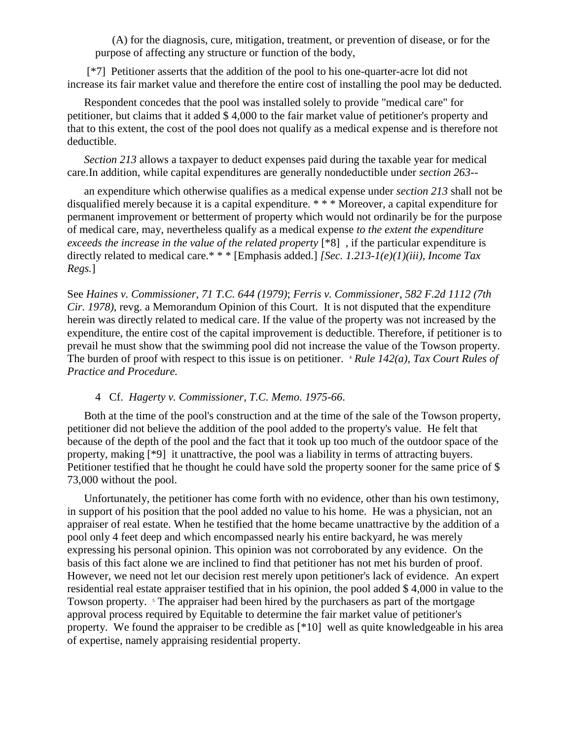(A) for the diagnosis, cure, mitigation, treatment, or prevention of disease, or for the purpose of affecting any structure or function of the body,

[\*7] Petitioner asserts that the addition of the pool to his one-quarter-acre lot did not increase its fair market value and therefore the entire cost of installing the pool may be deducted.

Respondent concedes that the pool was installed solely to provide "medical care" for petitioner, but claims that it added \$ 4,000 to the fair market value of petitioner's property and that to this extent, the cost of the pool does not qualify as a medical expense and is therefore not deductible.

*Section 213* allows a taxpayer to deduct expenses paid during the taxable year for medical care.In addition, while capital expenditures are generally nondeductible under *section 263*--

an expenditure which otherwise qualifies as a medical expense under *section 213* shall not be disqualified merely because it is a capital expenditure. \* \* \* Moreover, a capital expenditure for permanent improvement or betterment of property which would not ordinarily be for the purpose of medical care, may, nevertheless qualify as a medical expense *to the extent the expenditure exceeds the increase in the value of the related property* [\*8] , if the particular expenditure is directly related to medical care.\* \* \* [Emphasis added.] *[Sec. 1.213-1(e)(1)(iii), Income Tax Regs.*]

See *Haines v. Commissioner, 71 T.C. 644 (1979)*; *Ferris v. Commissioner, 582 F.2d 1112 (7th Cir. 1978)*, revg. a Memorandum Opinion of this Court. It is not disputed that the expenditure herein was directly related to medical care. If the value of the property was not increased by the expenditure, the entire cost of the capital improvement is deductible. Therefore, if petitioner is to prevail he must show that the swimming pool did not increase the value of the Towson property. The burden of proof with respect to this issue is on petitioner. <sup>4</sup> *Rule 142(a), Tax Court Rules of Practice and Procedure.*

### 4 Cf. *Hagerty v. Commissioner, T.C. Memo. 1975-66*.

Both at the time of the pool's construction and at the time of the sale of the Towson property, petitioner did not believe the addition of the pool added to the property's value. He felt that because of the depth of the pool and the fact that it took up too much of the outdoor space of the property, making [\*9] it unattractive, the pool was a liability in terms of attracting buyers. Petitioner testified that he thought he could have sold the property sooner for the same price of \$ 73,000 without the pool.

Unfortunately, the petitioner has come forth with no evidence, other than his own testimony, in support of his position that the pool added no value to his home. He was a physician, not an appraiser of real estate. When he testified that the home became unattractive by the addition of a pool only 4 feet deep and which encompassed nearly his entire backyard, he was merely expressing his personal opinion. This opinion was not corroborated by any evidence. On the basis of this fact alone we are inclined to find that petitioner has not met his burden of proof. However, we need not let our decision rest merely upon petitioner's lack of evidence. An expert residential real estate appraiser testified that in his opinion, the pool added \$ 4,000 in value to the Towson property. <sup>5</sup> The appraiser had been hired by the purchasers as part of the mortgage approval process required by Equitable to determine the fair market value of petitioner's property. We found the appraiser to be credible as [\*10] well as quite knowledgeable in his area of expertise, namely appraising residential property.